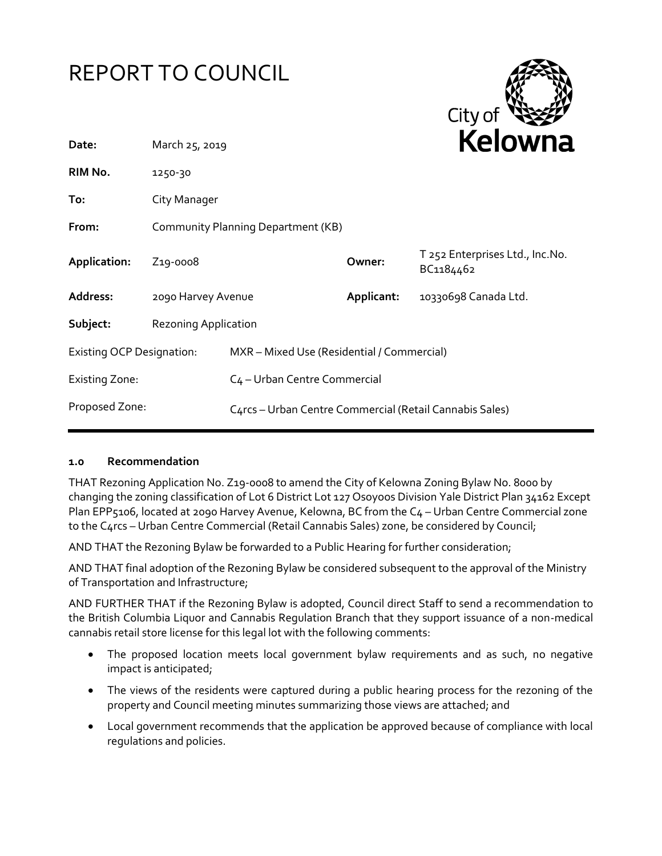



| Date:                            | March 25, 2019                     |                                                         |            | <b>NEIUWHd</b>                               |  |
|----------------------------------|------------------------------------|---------------------------------------------------------|------------|----------------------------------------------|--|
| RIM No.                          | 1250-30                            |                                                         |            |                                              |  |
| To:                              | City Manager                       |                                                         |            |                                              |  |
| From:                            | Community Planning Department (KB) |                                                         |            |                                              |  |
| Application:                     | Z <sub>19</sub> -0008              |                                                         | Owner:     | T 252 Enterprises Ltd., Inc.No.<br>BC1184462 |  |
| Address:                         | 2090 Harvey Avenue                 |                                                         | Applicant: | 10330698 Canada Ltd.                         |  |
| Subject:                         | <b>Rezoning Application</b>        |                                                         |            |                                              |  |
| <b>Existing OCP Designation:</b> |                                    | MXR - Mixed Use (Residential / Commercial)              |            |                                              |  |
| <b>Existing Zone:</b>            |                                    | C <sub>4</sub> - Urban Centre Commercial                |            |                                              |  |
| Proposed Zone:                   |                                    | C4rcs - Urban Centre Commercial (Retail Cannabis Sales) |            |                                              |  |

#### **1.0 Recommendation**

THAT Rezoning Application No. Z19-0008 to amend the City of Kelowna Zoning Bylaw No. 8000 by changing the zoning classification of Lot 6 District Lot 127 Osoyoos Division Yale District Plan 34162 Except Plan EPP5106, located at 2090 Harvey Avenue, Kelowna, BC from the C4 - Urban Centre Commercial zone to the C4rcs – Urban Centre Commercial (Retail Cannabis Sales) zone, be considered by Council;

AND THAT the Rezoning Bylaw be forwarded to a Public Hearing for further consideration;

AND THAT final adoption of the Rezoning Bylaw be considered subsequent to the approval of the Ministry of Transportation and Infrastructure;

AND FURTHER THAT if the Rezoning Bylaw is adopted, Council direct Staff to send a recommendation to the British Columbia Liquor and Cannabis Regulation Branch that they support issuance of a non-medical cannabis retail store license for this legal lot with the following comments:

- The proposed location meets local government bylaw requirements and as such, no negative impact is anticipated;
- The views of the residents were captured during a public hearing process for the rezoning of the property and Council meeting minutes summarizing those views are attached; and
- Local government recommends that the application be approved because of compliance with local regulations and policies.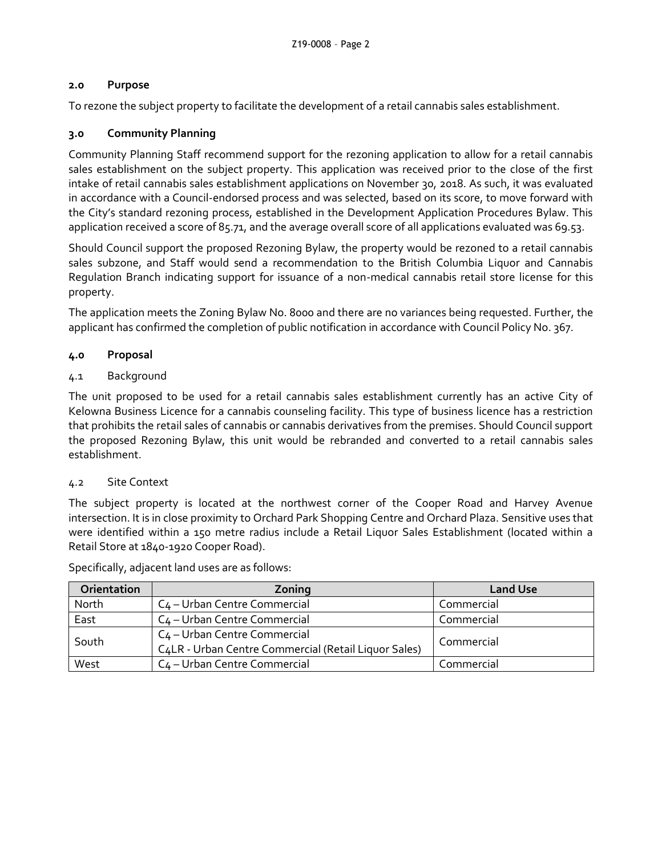## **2.0 Purpose**

To rezone the subject property to facilitate the development of a retail cannabis sales establishment.

# **3.0 Community Planning**

Community Planning Staff recommend support for the rezoning application to allow for a retail cannabis sales establishment on the subject property. This application was received prior to the close of the first intake of retail cannabis sales establishment applications on November 30, 2018. As such, it was evaluated in accordance with a Council-endorsed process and was selected, based on its score, to move forward with the City's standard rezoning process, established in the Development Application Procedures Bylaw. This application received a score of 85.71, and the average overall score of all applications evaluated was 69.53.

Should Council support the proposed Rezoning Bylaw, the property would be rezoned to a retail cannabis sales subzone, and Staff would send a recommendation to the British Columbia Liquor and Cannabis Regulation Branch indicating support for issuance of a non-medical cannabis retail store license for this property.

The application meets the Zoning Bylaw No. 8000 and there are no variances being requested. Further, the applicant has confirmed the completion of public notification in accordance with Council Policy No. 367.

## **4.0 Proposal**

## 4.1 Background

The unit proposed to be used for a retail cannabis sales establishment currently has an active City of Kelowna Business Licence for a cannabis counseling facility. This type of business licence has a restriction that prohibits the retail sales of cannabis or cannabis derivatives from the premises. Should Council support the proposed Rezoning Bylaw, this unit would be rebranded and converted to a retail cannabis sales establishment.

## 4.2 Site Context

The subject property is located at the northwest corner of the Cooper Road and Harvey Avenue intersection. It is in close proximity to Orchard Park Shopping Centre and Orchard Plaza. Sensitive uses that were identified within a 150 metre radius include a Retail Liquor Sales Establishment (located within a Retail Store at 1840-1920 Cooper Road).

| Orientation | Zoning                                               | <b>Land Use</b> |
|-------------|------------------------------------------------------|-----------------|
| North       | C <sub>4</sub> – Urban Centre Commercial             | Commercial      |
| East        | C <sub>4</sub> – Urban Centre Commercial             | Commercial      |
| South       | C <sub>4</sub> - Urban Centre Commercial             | Commercial      |
|             | C4LR - Urban Centre Commercial (Retail Liquor Sales) |                 |
| West        | C <sub>4</sub> – Urban Centre Commercial             | Commercial      |

Specifically, adjacent land uses are as follows: